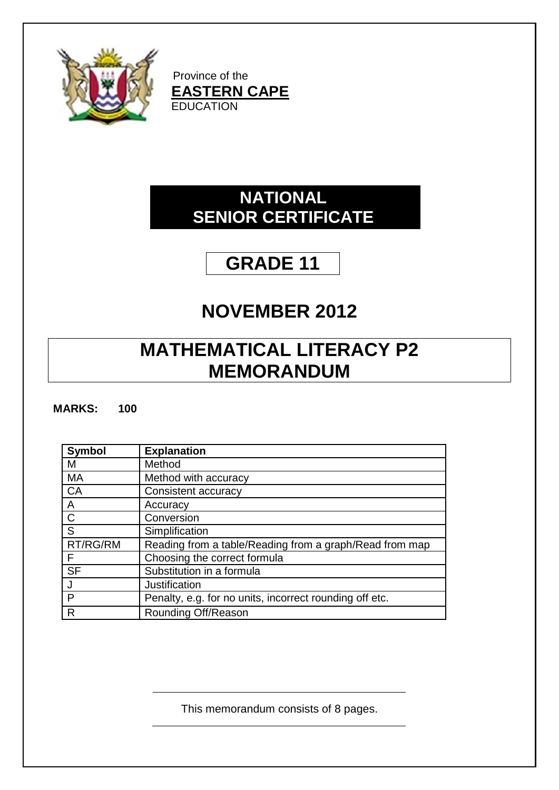

Province of the **EASTERN CAPE EDUCATION** 

### **NATIONAL SENIOR CERTIFICATE**

# **GRADE 11**

## **NOVEMBER 2012**

## **MATHEMATICAL LITERACY P2 MEMORANDUM**

### **MARKS: 100**

| <b>Symbol</b> | <b>Explanation</b>                                      |
|---------------|---------------------------------------------------------|
| М             | Method                                                  |
| MA            | Method with accuracy                                    |
| CA            | Consistent accuracy                                     |
| Α             | Accuracy                                                |
| $\mathsf{C}$  | Conversion                                              |
| S             | Simplification                                          |
| RT/RG/RM      | Reading from a table/Reading from a graph/Read from map |
| F             | Choosing the correct formula                            |
| <b>SF</b>     | Substitution in a formula                               |
|               | Justification                                           |
| P             | Penalty, e.g. for no units, incorrect rounding off etc. |
| R             | Rounding Off/Reason                                     |

This memorandum consists of 8 pages.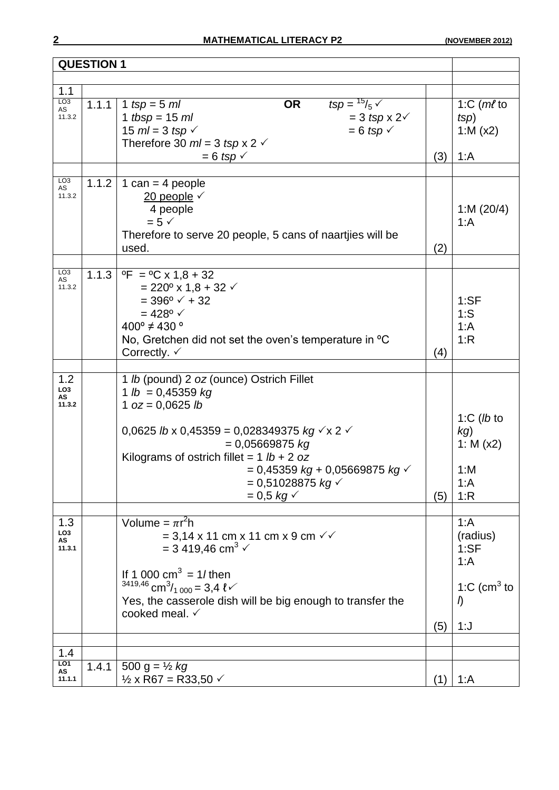| <b>QUESTION 1</b>                      |       |                                                                                                                                                                                                                                                                                                                         |     |                                                                              |
|----------------------------------------|-------|-------------------------------------------------------------------------------------------------------------------------------------------------------------------------------------------------------------------------------------------------------------------------------------------------------------------------|-----|------------------------------------------------------------------------------|
|                                        |       |                                                                                                                                                                                                                                                                                                                         |     |                                                                              |
| 1.1<br>LO <sub>3</sub>                 |       |                                                                                                                                                                                                                                                                                                                         |     |                                                                              |
| AS<br>11.3.2                           | 1.1.1 | $tsp = \frac{15}{5}$<br><b>OR</b><br>1 $tsp = 5 ml$<br>1 tbsp = $15 ml$<br>$=$ 3 tsp x 2 $\checkmark$<br>$= 6$ tsp $\checkmark$<br>15 $ml = 3$ tsp $\checkmark$<br>Therefore 30 $ml = 3$ tsp x 2 $\checkmark$<br>$= 6$ tsp $\checkmark$                                                                                 | (3) | 1: $C$ ( <i>ml</i> to<br>tsp)<br>1: $M(x2)$<br>1: A                          |
|                                        |       |                                                                                                                                                                                                                                                                                                                         |     |                                                                              |
| L <sub>03</sub><br>AS<br>11.3.2        | 1.1.2 | 1 can = 4 people<br>20 people $\checkmark$<br>4 people<br>$= 5 \checkmark$<br>Therefore to serve 20 people, 5 cans of naartijes will be<br>used.                                                                                                                                                                        | (2) | 1:M $(20/4)$<br>1: A                                                         |
|                                        |       |                                                                                                                                                                                                                                                                                                                         |     |                                                                              |
| LO <sub>3</sub><br>AS<br>11.3.2        | 1.1.3 | $^{\circ}$ F = $^{\circ}$ C x 1,8 + 32<br>$= 220^{\circ} \times 1.8 + 32$ $\checkmark$<br>$= 396^{\circ}$ $\checkmark$ + 32<br>$= 428^{\circ}$ $\checkmark$<br>$400^{\circ} \neq 430^{\circ}$<br>No, Gretchen did not set the oven's temperature in <sup>o</sup> C<br>Correctly. $\checkmark$                           | (4) | 1:SF<br>1:S<br>1: A<br>1:R                                                   |
|                                        |       |                                                                                                                                                                                                                                                                                                                         |     |                                                                              |
| 1.2<br>LO <sub>3</sub><br>AS<br>11.3.2 |       | 1 lb (pound) 2 oz (ounce) Ostrich Fillet<br>1 $lb = 0,45359$ kg<br>1 $oz = 0,0625$ lb<br>0,0625 lb x 0,45359 = 0,028349375 kg $\checkmark$ x 2 $\checkmark$<br>$= 0.05669875$ kg<br>Kilograms of ostrich fillet = $1 lb + 2 oz$<br>$= 0,45359 kg + 0,05669875 kg$<br>$= 0,51028875$ kg $\checkmark$<br>$= 0.5 \, kg \,$ | (5) | 1: $C$ ( <i>lb</i> to<br>kg)<br>1: $M (x2)$<br>1: M<br>1: A<br>1:R           |
| 1.3<br>LO <sub>3</sub><br>AS<br>11.3.1 |       | Volume = $\pi r^2 h$<br>$= 3,14 \times 11$ cm x 11 cm x 9 cm $\sqrt{ }$<br>= 3 419,46 cm <sup>3</sup> $\checkmark$<br>If 1 000 $\text{cm}^3$ = 1/then<br>$3419,46$ cm <sup>3</sup> / <sub>1000</sub> = 3,4 l $\checkmark$<br>Yes, the casserole dish will be big enough to transfer the<br>cooked meal. √               | (5) | 1: A<br>(radius)<br>1:SF<br>1: A<br>1:C (cm <sup>3</sup> to<br>$\eta$<br>1:J |
| 1.4                                    |       |                                                                                                                                                                                                                                                                                                                         |     |                                                                              |
| LO1<br>AS<br>11.1.1                    | 1.4.1 | 500 g = $\frac{1}{2}$ kg<br>$\frac{1}{2}$ x R67 = R33,50 $\checkmark$                                                                                                                                                                                                                                                   | (1) | 1:A                                                                          |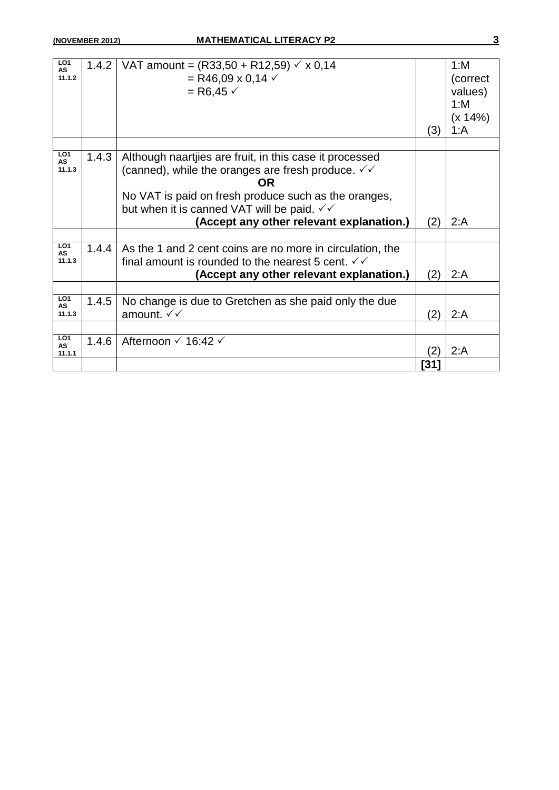| LO <sub>1</sub><br>AS<br>11.1.2        | 1.4.2 | VAT amount = $(R33,50 + R12,59)$ $\checkmark$ x 0,14<br>= R46,09 x 0,14 $\checkmark$<br>$=$ R6,45 $\checkmark$                                                                                                                                                                                           | (3)  | 1: M<br>(correct<br>values)<br>1: M<br>(x 14%)<br>1: A |
|----------------------------------------|-------|----------------------------------------------------------------------------------------------------------------------------------------------------------------------------------------------------------------------------------------------------------------------------------------------------------|------|--------------------------------------------------------|
|                                        |       |                                                                                                                                                                                                                                                                                                          |      |                                                        |
| LO <sub>1</sub><br>AS<br>11.1.3        | 1.4.3 | Although naartijes are fruit, in this case it processed<br>(canned), while the oranges are fresh produce. $\sqrt{\sqrt{ }}$<br>OR.<br>No VAT is paid on fresh produce such as the oranges,<br>but when it is canned VAT will be paid. $\checkmark\checkmark$<br>(Accept any other relevant explanation.) | (2)  | 2: A                                                   |
|                                        |       |                                                                                                                                                                                                                                                                                                          |      |                                                        |
| LO <sub>1</sub><br>AS<br>11.1.3        | 1.4.4 | As the 1 and 2 cent coins are no more in circulation, the<br>final amount is rounded to the nearest 5 cent. $\checkmark\checkmark$<br>(Accept any other relevant explanation.)                                                                                                                           | (2)  | 2: A                                                   |
|                                        |       |                                                                                                                                                                                                                                                                                                          |      |                                                        |
| LO <sub>1</sub><br>AS<br>11.1.3        | 1.4.5 | No change is due to Gretchen as she paid only the due<br>amount. √√                                                                                                                                                                                                                                      | (2)  | 2: A                                                   |
|                                        |       |                                                                                                                                                                                                                                                                                                          |      |                                                        |
| LO <sub>1</sub><br><b>AS</b><br>11.1.1 | 1.4.6 | Afternoon $\checkmark$ 16:42 $\checkmark$                                                                                                                                                                                                                                                                | (2)  | 2: A                                                   |
|                                        |       |                                                                                                                                                                                                                                                                                                          | [31] |                                                        |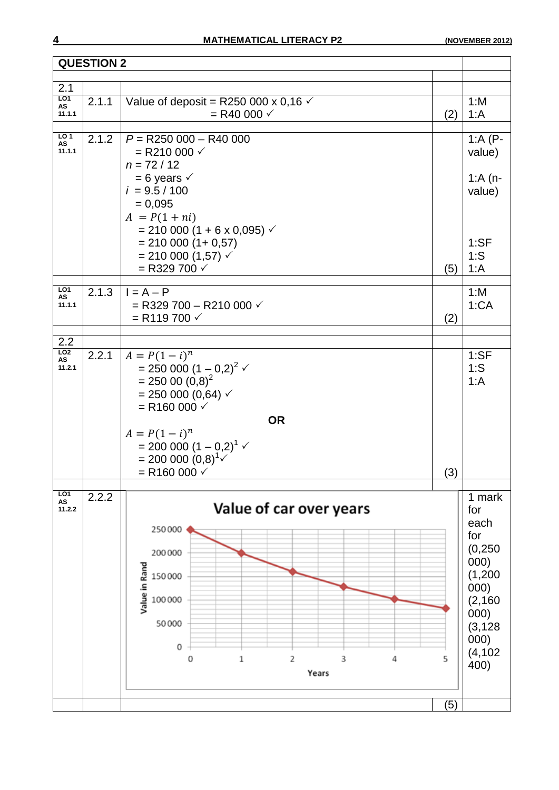|                        | <b>QUESTION 2</b> |                                                            |     |                  |
|------------------------|-------------------|------------------------------------------------------------|-----|------------------|
|                        |                   |                                                            |     |                  |
| 2.1<br>L01             |                   |                                                            |     |                  |
| AS                     | 2.1.1             | Value of deposit = R250 000 x 0,16 $\checkmark$            |     | 1: M             |
| 11.1.1                 |                   | $=$ R40 000 $\checkmark$                                   | (2) | 1: A             |
| LO <sub>1</sub>        |                   |                                                            |     |                  |
| AS                     | 2.1.2             | $P = R250000 - R40000$                                     |     | 1: $A(P -$       |
| 11.1.1                 |                   | = R210 000 $\checkmark$                                    |     | value)           |
|                        |                   | $n = 72 / 12$                                              |     |                  |
|                        |                   | $= 6$ years $\checkmark$<br>$i = 9.5 / 100$                |     | 1: $A(n -$       |
|                        |                   | $= 0,095$                                                  |     | value)           |
|                        |                   | $A = P(1 + ni)$                                            |     |                  |
|                        |                   | $= 210 000 (1 + 6 x 0,095)$ $\checkmark$                   |     |                  |
|                        |                   | $= 210000(1 + 0.57)$                                       |     | 1:SF             |
|                        |                   | $= 210 000 (1,57)$ $\checkmark$                            |     | 1:S              |
|                        |                   | = R329 700 $\checkmark$                                    | (5) | 1: A             |
|                        |                   |                                                            |     |                  |
| LO <sub>1</sub><br>AS  | 2.1.3             | $I = A - P$                                                |     | 1: M             |
| 11.1.1                 |                   | $=$ R329 700 - R210 000 $\checkmark$                       |     | 1:CA             |
|                        |                   | $=$ R119 700 $\checkmark$                                  | (2) |                  |
|                        |                   |                                                            |     |                  |
| 2.2<br>L <sub>02</sub> |                   |                                                            |     |                  |
| AS                     | 2.2.1             | $A = P(1 - i)^n$                                           |     | 1:SF             |
| 11.2.1                 |                   | = 250 000 $(1 - 0.2)^2$ $\checkmark$<br>= 250 00 $(0.8)^2$ |     | $1:$ S           |
|                        |                   |                                                            |     | 1: A             |
|                        |                   | $= 250000(0,64)$ $\checkmark$<br>$=$ R160 000 $\checkmark$ |     |                  |
|                        |                   | <b>OR</b>                                                  |     |                  |
|                        |                   | $A = P(1 - i)^n$                                           |     |                  |
|                        |                   | $= 200 000 (1 - 0.2)^{1}$                                  |     |                  |
|                        |                   | $= 200 000 (0,8)^{1}$                                      |     |                  |
|                        |                   | $=$ R160 000 $\checkmark$                                  | (3) |                  |
|                        |                   |                                                            |     |                  |
| LO1<br>AS              | 2.2.2             |                                                            |     | 1 mark           |
| 11.2.2                 |                   | Value of car over years                                    |     | for              |
|                        |                   | 250000                                                     |     | each             |
|                        |                   |                                                            |     | for              |
|                        |                   | 200000                                                     |     | (0, 250)         |
|                        |                   |                                                            |     | 000)             |
|                        |                   | Value in Rand<br>150000                                    |     | (1,200)          |
|                        |                   |                                                            |     | 000)             |
|                        |                   | 100000                                                     |     | (2, 160)         |
|                        |                   | 50000                                                      |     | 000)             |
|                        |                   |                                                            |     | (3, 128)         |
|                        |                   | 0                                                          |     | 000)<br>(4, 102) |
|                        |                   | 2<br>3<br>0<br>1<br>4                                      | 5   | 400)             |
|                        |                   | Years                                                      |     |                  |
|                        |                   |                                                            |     |                  |
|                        |                   |                                                            | (5) |                  |
|                        |                   |                                                            |     |                  |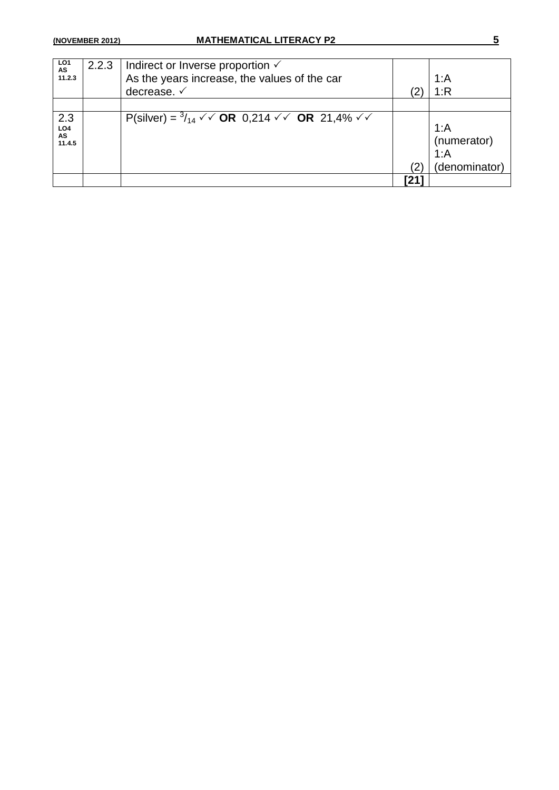| LO <sub>1</sub><br>AS<br>11.2.3        | 2.2.3 | Indirect or Inverse proportion $\checkmark$<br>As the years increase, the values of the car<br>decrease. ✓ |     | 1: A<br>1:R                                  |
|----------------------------------------|-------|------------------------------------------------------------------------------------------------------------|-----|----------------------------------------------|
|                                        |       |                                                                                                            |     |                                              |
| 2.3<br>LO <sub>4</sub><br>AS<br>11.4.5 |       | P(silver) = $\frac{3}{14}$ $\checkmark$ OR 0,214 $\checkmark$ OR 21,4% $\checkmark$ $\checkmark$           |     | 1: A<br>(numerator)<br>1: A<br>(denominator) |
|                                        |       |                                                                                                            | [21 |                                              |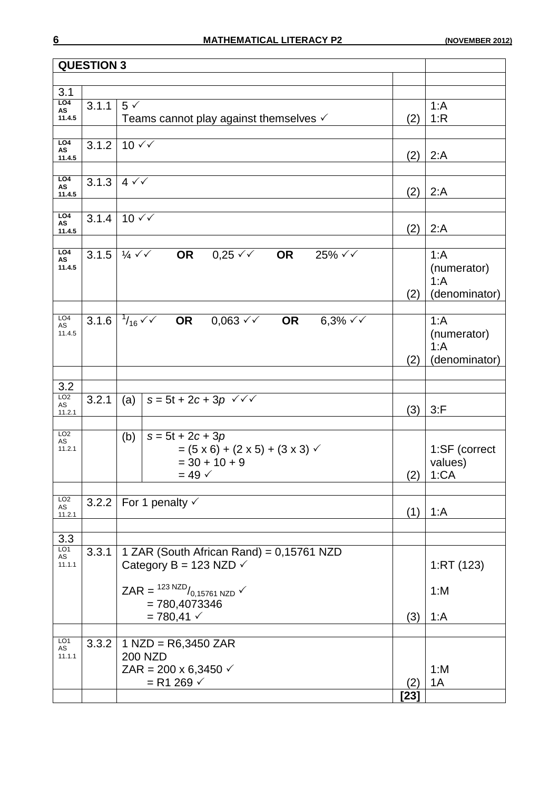| <b>QUESTION 3</b>       |                    |                                                                                                    |      |               |
|-------------------------|--------------------|----------------------------------------------------------------------------------------------------|------|---------------|
|                         |                    |                                                                                                    |      |               |
| 3.1                     |                    |                                                                                                    |      |               |
| LO <sub>4</sub><br>AS   | 3.1.1              | $5 \checkmark$                                                                                     |      | 1: A          |
| 11.4.5                  |                    | Teams cannot play against themselves $\checkmark$                                                  | (2)  | 1:R           |
| LO4<br>AS               | 3.1.2              | $10 \sqrt{}$                                                                                       |      |               |
| 11.4.5                  |                    |                                                                                                    | (2)  | 2: A          |
| L04<br>AS               | $\overline{3.1.3}$ | $4 \sqrt{}$                                                                                        |      |               |
| 11.4.5                  |                    |                                                                                                    | (2)  | 2: A          |
| LO4                     | 3.1.4              | $10 \sqrt{}$                                                                                       |      |               |
| AS<br>11.4.5            |                    |                                                                                                    | (2)  | 2: A          |
|                         |                    |                                                                                                    |      |               |
| L <sub>O4</sub><br>AS   | 3.1.5              | $\frac{1}{4}$ $\checkmark$ $\checkmark$<br>$0,25 \checkmark$<br>OR<br>$25\% \sqrt{6}$<br><b>OR</b> |      | 1: A          |
| 11.4.5                  |                    |                                                                                                    |      | (numerator)   |
|                         |                    |                                                                                                    |      | 1: A          |
|                         |                    |                                                                                                    | (2)  | (denominator) |
| LO <sub>4</sub>         |                    | 3.1.6 $1/16$ $\checkmark$ OR 0,063 $\checkmark$ OR<br>$6,3\% \checkmark$                           |      | 1: A          |
| AS<br>11.4.5            |                    |                                                                                                    |      | (numerator)   |
|                         |                    |                                                                                                    |      | 1: A          |
|                         |                    |                                                                                                    | (2)  | (denominator) |
|                         |                    |                                                                                                    |      |               |
| 3.2<br>LO <sub>2</sub>  |                    |                                                                                                    |      |               |
| AS<br>11.2.1            | 3.2.1              | $s = 5t + 2c + 3p \sqrt{6}$<br>(a)                                                                 | (3)  | $3:$ F        |
|                         |                    |                                                                                                    |      |               |
| LO <sub>2</sub><br>AS   |                    | (b)<br>$s = 5t + 2c + 3p$                                                                          |      |               |
| 11.2.1                  |                    | $= (5 \times 6) + (2 \times 5) + (3 \times 3)$                                                     |      | 1:SF (correct |
|                         |                    | $=$ 30 + 10 + 9                                                                                    |      | values)       |
|                         |                    | $= 49 \checkmark$                                                                                  | (2)  | 1:CA          |
| LO <sub>2</sub>         |                    | 3.2.2   For 1 penalty $\checkmark$                                                                 |      |               |
| $\mathsf{AS}$<br>11.2.1 |                    |                                                                                                    |      | $(1)$   1:A   |
| 3.3                     |                    |                                                                                                    |      |               |
| LO1                     | 3.3.1              | 1 ZAR (South African Rand) = 0,15761 NZD                                                           |      |               |
| AS<br>11.1.1            |                    | Category B = 123 NZD $\checkmark$                                                                  |      | 1:RT(123)     |
|                         |                    |                                                                                                    |      |               |
|                         |                    | ZAR = $^{123 \text{ NZD}}/0.15761 \text{ NZD}$ $\checkmark$<br>$= 780,4073346$                     |      | 1: M          |
|                         |                    | $= 780,41 \checkmark$                                                                              | (3)  | 1: A          |
|                         |                    |                                                                                                    |      |               |
| LO <sub>1</sub><br>AS   | 3.3.2              | $1$ NZD = R6,3450 ZAR                                                                              |      |               |
| 11.1.1                  |                    | <b>200 NZD</b><br>ZAR = 200 x 6,3450 $\checkmark$                                                  |      | 1: M          |
|                         |                    | $= R1 269 \checkmark$                                                                              | (2)  | 1A            |
|                         |                    |                                                                                                    | [23] |               |
|                         |                    |                                                                                                    |      |               |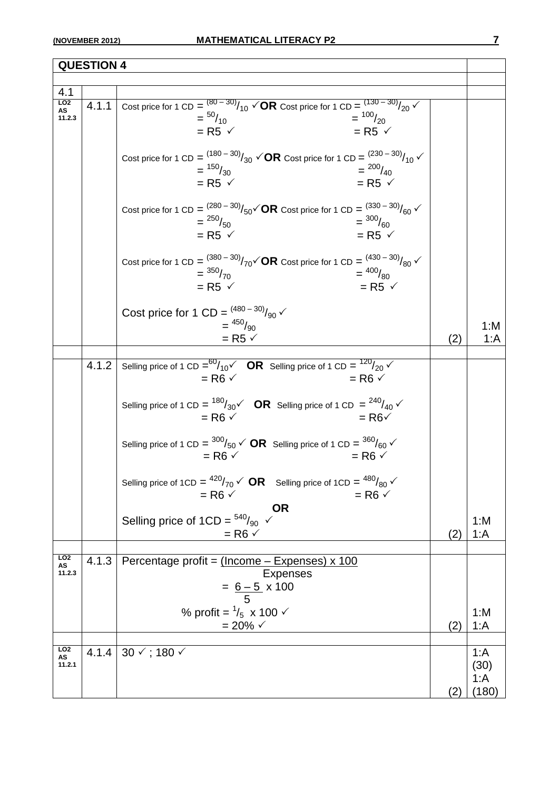| <b>QUESTION 4</b>               |       |                                                                                                                                                                                                                    |     |                               |
|---------------------------------|-------|--------------------------------------------------------------------------------------------------------------------------------------------------------------------------------------------------------------------|-----|-------------------------------|
|                                 |       |                                                                                                                                                                                                                    |     |                               |
| 4.1                             |       |                                                                                                                                                                                                                    |     |                               |
| LO2<br>AS<br>11.2.3             | 4.1.1 | Cost price for 1 CD = $^{(80-30)}/_{10}$ $\checkmark$ OR Cost price for 1 CD = $^{(130-30)}/_{20}$ $\checkmark$<br>$=$ $100/20$<br>$=$ $\frac{50}{10}$<br>$=$ R5 $\checkmark$<br>$=$ R5 $\checkmark$               |     |                               |
|                                 |       | Cost price for 1 CD = $^{(180-30)}/_{30}$ $\check{O}$ <b>R</b> Cost price for 1 CD = $^{(230-30)}/_{10}\check{O}$<br>$=$ $\frac{150}{30}$<br>$=$ $^{200}/_{40}$<br>$=$ R5 $\checkmark$<br>$=$ R5 $\checkmark$      |     |                               |
|                                 |       | Cost price for 1 CD = $^{(280-30)}/_{50}\sqrt{OR}$ Cost price for 1 CD = $^{(330-30)}/_{60}\sqrt{OR}$<br>$=$ $\frac{300}{60}$<br>$=$ $^{250}/_{50}$<br>$=$ R5 $\checkmark$<br>$=$ R5 $\checkmark$                  |     |                               |
|                                 |       | Cost price for 1 CD = $\frac{(380-30)}{25}$ / $70\sqrt{}$ CR Cost price for 1 CD = $\frac{(430-30)}{80}$ / $80\sqrt{}$<br>$=$ $^{400}/_{80}$<br>$=$ $\frac{350}{70}$<br>$=$ R5 $\checkmark$<br>$=$ R5 $\checkmark$ |     |                               |
|                                 |       | Cost price for 1 CD = $^{(480 - 30)}/_{90}$ $\checkmark$<br>$=$ $\frac{450}{90}$<br>$=$ R5 $\checkmark$                                                                                                            | (2) | 1: M<br>1: A                  |
|                                 |       |                                                                                                                                                                                                                    |     |                               |
|                                 | 4.1.2 | Selling price of 1 CD = $\frac{60}{10}$ OR Selling price of 1 CD = $\frac{120}{20}$ V<br>$=$ R6 $\checkmark$<br>$=$ R6 $\checkmark$                                                                                |     |                               |
|                                 |       | Selling price of 1 CD = $^{180}/_{30}$ $\check{C}$ OR Selling price of 1 CD = $^{240}/_{40}$ $\check{C}$<br>$=$ R6 $\checkmark$<br>$=$ R6 $\checkmark$                                                             |     |                               |
|                                 |       | Selling price of 1 CD = $\frac{300}{50}$ $\checkmark$ OR Selling price of 1 CD = $\frac{360}{60}$ $\checkmark$<br>$=$ R6 $\checkmark$<br>$=$ R6 $\checkmark$                                                       |     |                               |
|                                 |       | Selling price of 1CD = $^{420}/_{70}$ $\checkmark$ OR Selling price of 1CD = $^{480}/_{80}$ $\checkmark$<br>$=$ R6 $\checkmark$<br>$=$ R6 $\checkmark$                                                             |     |                               |
|                                 |       | <b>OR</b><br>Selling price of 1CD = $540/90 \sim$<br>$=$ R6 $\checkmark$                                                                                                                                           | (2) | 1: M<br>1: A                  |
| LO <sub>2</sub>                 |       |                                                                                                                                                                                                                    |     |                               |
| AS<br>11.2.3                    | 4.1.3 | Percentage profit = (Income - Expenses) x 100<br><b>Expenses</b><br>$= 6 - 5 \times 100$                                                                                                                           |     |                               |
|                                 |       | % profit = $\frac{1}{5}$ x 100 $\checkmark$<br>$= 20\% \checkmark$                                                                                                                                                 | (2) | 1: M<br>1: A                  |
| LO <sub>2</sub><br>AS<br>11.2.1 | 4.1.4 | $30 \checkmark$ ; 180 $\checkmark$                                                                                                                                                                                 | (2) | 1: A<br>(30)<br>1: A<br>(180) |